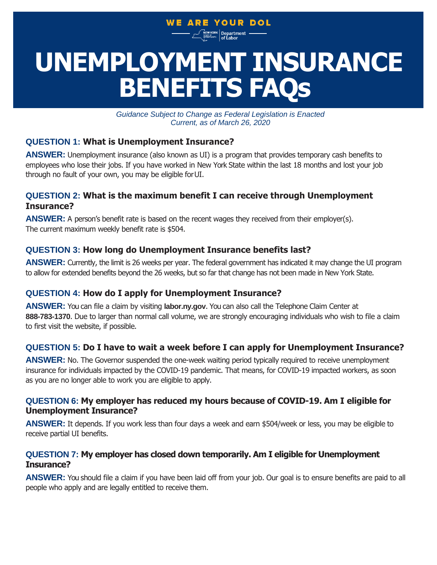# WE ARE YOUR DOL

<sup>YORK</sup> Department –

# **BENEFITS FAQs UNEMPLOYMENT INSURANCE**

*Guidance Subject to Change as Federal Legislation is Enacted Current, as of March 26, 2020*

# **QUESTION 1: What is Unemployment Insurance?**

**ANSWER:** Unemployment insurance (also known as UI) is a program that provides temporary cash benefits to employees who lose their jobs. If you have worked in New York State within the last 18 months and lost your job through no fault of your own, you may be eligible forUI.

# **QUESTION 2: What is the maximum benefit I can receive through Unemployment Insurance?**

**ANSWER:** A person's benefit rate is based on the recent wages they received from their employer(s). The current maximum weekly benefit rate is \$504.

# **QUESTION 3: How long do Unemployment Insurance benefits last?**

**ANSWER:** Currently, the limit is 26 weeks per year. The federal government has indicated it may change the UI program to allow for extended benefits beyond the 26 weeks, but so far that change has not been made in New York State.

# **QUESTION 4: How do I apply for Unemployment Insurance?**

**ANSWER:** You can file a claim by visiting **[labor.ny.gov](http://labor.ny.gov/)**. You can also call the Telephone Claim Center at **888-783-1370**. Due to larger than normal call volume, we are strongly encouraging individuals who wish to file a claim to first visit the website, if possible.

## **QUESTION 5: Do I have to wait a week before I can apply for Unemployment Insurance?**

ANSWER: No. The Governor suspended the one-week waiting period typically required to receive unemployment insurance for individuals impacted by the COVID-19 pandemic. That means, for COVID-19 impacted workers, as soon as you are no longer able to work you are eligible to apply.

#### **QUESTION 6: My employer has reduced my hours because of COVID-19. Am I eligible for Unemployment Insurance?**

**ANSWER:** It depends. If you work less than four days a week and earn \$504/week or less, you may be eligible to receive partial UI benefits.

## **QUESTION 7: My employer has closed down temporarily. Am I eligible for Unemployment Insurance?**

**ANSWER:** You should file a claim if you have been laid off from your job. Our goal is to ensure benefits are paid to all people who apply and are legally entitled to receive them.